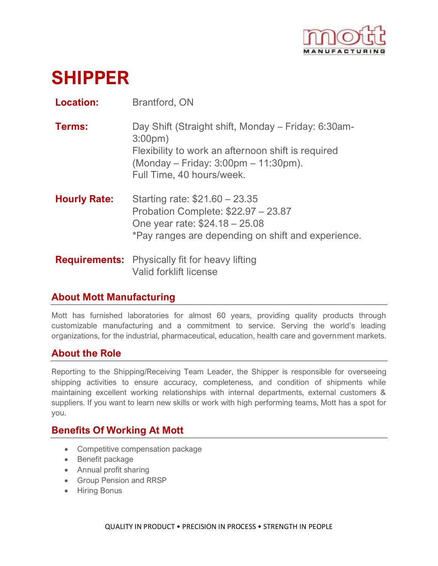

# **SHIPPER**

**Location:** Brantford, ON

| <b>Terms:</b> | Day Shift (Straight shift, Monday – Friday: 6:30am-<br>$3:00pm$ )                                                         |
|---------------|---------------------------------------------------------------------------------------------------------------------------|
|               | Flexibility to work an afternoon shift is required<br>$(Monday - Friday: 3:00pm - 11:30pm).$<br>Full Time, 40 hours/week. |

**Hourly Rate:** Starting rate: \$21.60 – 23.35 Probation Complete: \$22.97 – 23.87 One year rate: \$24.18 – 25.08 \*Pay ranges are depending on shift and experience.

**Requirements:** Physically fit for heavy lifting Valid forklift license

## **About Mott Manufacturing**

Mott has furnished laboratories for almost 60 years, providing quality products through customizable manufacturing and a commitment to service. Serving the world's leading organizations, for the industrial, pharmaceutical, education, health care and government markets.

## **About the Role**

Reporting to the Shipping/Receiving Team Leader, the Shipper is responsible for overseeing shipping activities to ensure accuracy, completeness, and condition of shipments while maintaining excellent working relationships with internal departments, external customers & suppliers. If you want to learn new skills or work with high performing teams, Mott has a spot for you.

## **Benefits Of Working At Mott**

- Competitive compensation package
- Benefit package
- Annual profit sharing
- Group Pension and RRSP
- Hiring Bonus